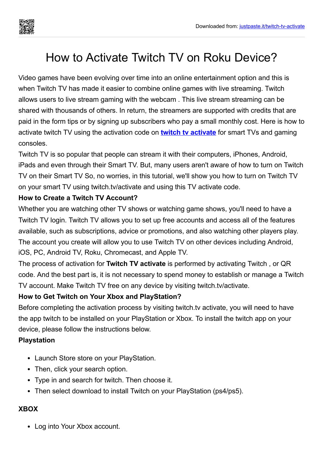# How to Activate Twitch TV on Roku Device?

Video games have been evolving over time into an online entertainment option and this is when Twitch TV has made it easier to combine online games with live streaming. Twitch allows users to live stream gaming with the webcam . This live stream streaming can be shared with thousands of others. In return, the streamers are supported with credits that are paid in the form tips or by signing up subscribers who pay a small monthly cost. Here is how to activate twitch TV using the activation code on **twitch tv [activate](https://justpaste.it/redirect/twitch-tv-activate/https://twitch-activate.com/)** for smart TVs and gaming consoles.

Twitch TV is so popular that people can stream it with their computers, iPhones, Android, iPads and even through their Smart TV. But, many users aren't aware of how to turn on Twitch TV on their Smart TV So, no worries, in this tutorial, we'll show you how to turn on Twitch TV on your smart TV using twitch.tv/activate and using this TV activate code.

# **How to Create a Twitch TV Account?**

Whether you are watching other TV shows or watching game shows, you'll need to have a Twitch TV login. Twitch TV allows you to set up free accounts and access all of the features available, such as subscriptions, advice or promotions, and also watching other players play. The account you create will allow you to use Twitch TV on other devices including Android, iOS, PC, Android TV, Roku, Chromecast, and Apple TV.

The process of activation for **Twitch TV activate** is performed by activating Twitch , or QR code. And the best part is, it is not necessary to spend money to establish or manage a Twitch TV account. Make Twitch TV free on any device by visiting twitch.tv/activate.

# **How to Get Twitch on Your Xbox and PlayStation?**

Before completing the activation process by visiting twitch.tv activate, you will need to have the app twitch to be installed on your PlayStation or Xbox. To install the twitch app on your device, please follow the instructions below.

# **Playstation**

- Launch Store store on your PlayStation.
- Then, click your search option.
- Type in and search for twitch. Then choose it.
- Then select download to install Twitch on your PlayStation (ps4/ps5).

#### **XBOX**

• Log into Your Xbox account.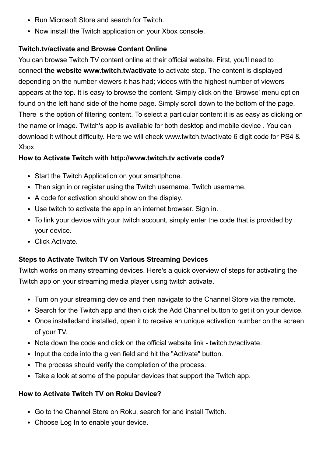- Run Microsoft Store and search for Twitch.
- Now install the Twitch application on your Xbox console.

### **Twitch.tv/activate and Browse Content Online**

You can browse Twitch TV content online at their official website. First, you'll need to connect **the website www.twitch.tv/activate** to activate step. The content is displayed depending on the number viewers it has had; videos with the highest number of viewers appears at the top. It is easy to browse the content. Simply click on the 'Browse' menu option found on the left hand side of the home page. Simply scroll down to the bottom of the page. There is the option of filtering content. To select a particular content it is as easy as clicking on the name or image. Twitch's app is available for both desktop and mobile device . You can download it without difficulty. Here we will check www.twitch.tv/activate 6 digit code for PS4 & Xbox.

#### **How to Activate Twitch with http://www.twitch.tv activate code?**

- Start the Twitch Application on your smartphone.
- Then sign in or register using the Twitch username. Twitch username.
- A code for activation should show on the display.
- Use twitch to activate the app in an internet browser. Sign in.
- To link your device with your twitch account, simply enter the code that is provided by your device.
- Click Activate.

# **Steps to Activate Twitch TV on Various Streaming Devices**

Twitch works on many streaming devices. Here's a quick overview of steps for activating the Twitch app on your streaming media player using twitch activate.

- Turn on your streaming device and then navigate to the Channel Store via the remote.
- Search for the Twitch app and then click the Add Channel button to get it on your device.
- Once installedand installed, open it to receive an unique activation number on the screen of your TV.
- $\bullet$  Note down the code and click on the official website link twitch.tv/activate.
- Input the code into the given field and hit the "Activate" button.
- The process should verify the completion of the process.
- Take a look at some of the popular devices that support the Twitch app.

#### **How to Activate Twitch TV on Roku Device?**

- Go to the Channel Store on Roku, search for and install Twitch.
- Choose Log In to enable your device.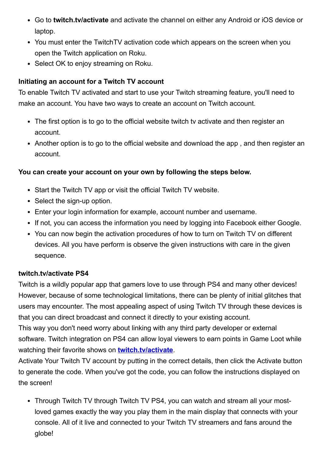- Go to **twitch.tv/activate** and activate the channel on either any Android or iOS device or laptop.
- You must enter the TwitchTV activation code which appears on the screen when you open the Twitch application on Roku.
- Select OK to enjoy streaming on Roku.

# **Initiating an account for a Twitch TV account**

To enable Twitch TV activated and start to use your Twitch streaming feature, you'll need to make an account. You have two ways to create an account on Twitch account.

- The first option is to go to the official website twitch tv activate and then register an account.
- Another option is to go to the official website and download the app, and then register an account.

# **You can create your account on your own by following the steps below.**

- Start the Twitch TV app or visit the official Twitch TV website.
- Select the sign-up option.
- Enter your login information for example, account number and username.
- If not, you can access the information you need by logging into Facebook either Google.
- You can now begin the activation procedures of how to turn on Twitch TV on different devices. All you have perform is observe the given instructions with care in the given sequence.

# **twitch.tv/activate PS4**

Twitch is a wildly popular app that gamers love to use through PS4 and many other devices! However, because of some technological limitations, there can be plenty of initial glitches that users may encounter. The most appealing aspect of using Twitch TV through these devices is that you can direct broadcast and connect it directly to your existing account.

This way you don't need worry about linking with any third party developer or external software. Twitch integration on PS4 can allow loyal viewers to earn points in Game Loot while watching their favorite shows on **[twitch.tv/activate](https://justpaste.it/redirect/twitch-tv-activate/https://twitch-activate.com/)**.

Activate Your Twitch TV account by putting in the correct details, then click the Activate button to generate the code. When you've got the code, you can follow the instructions displayed on the screen!

• Through Twitch TV through Twitch TV PS4, you can watch and stream all your mostloved games exactly the way you play them in the main display that connects with your console. All of it live and connected to your Twitch TV streamers and fans around the globe!